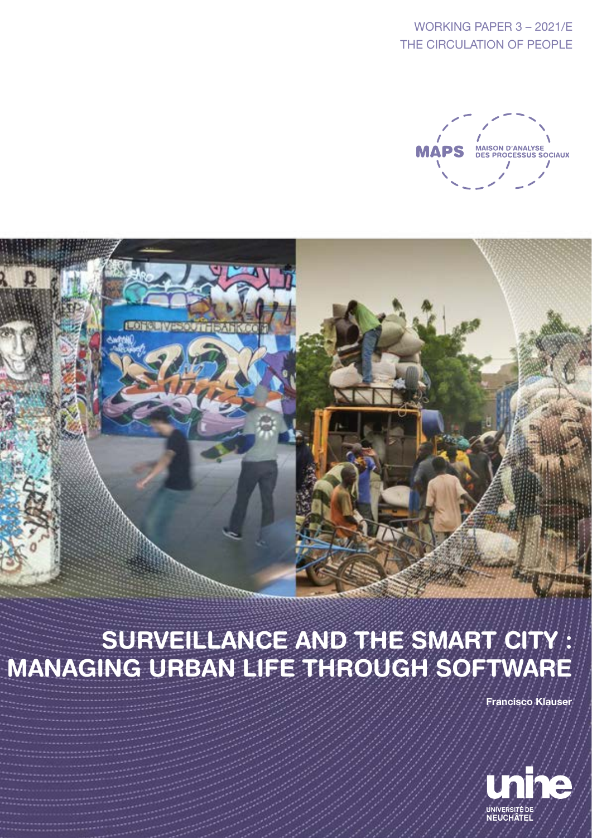WORKING PAPER 3 – 2021/E THE CIRCULATION OF PEOPLE





# SURVEILLANCE AND THE SMART CITY MANAGING URBAN LIFE THROUGH SOFTWARE

Francisco Klauser

![](_page_0_Picture_5.jpeg)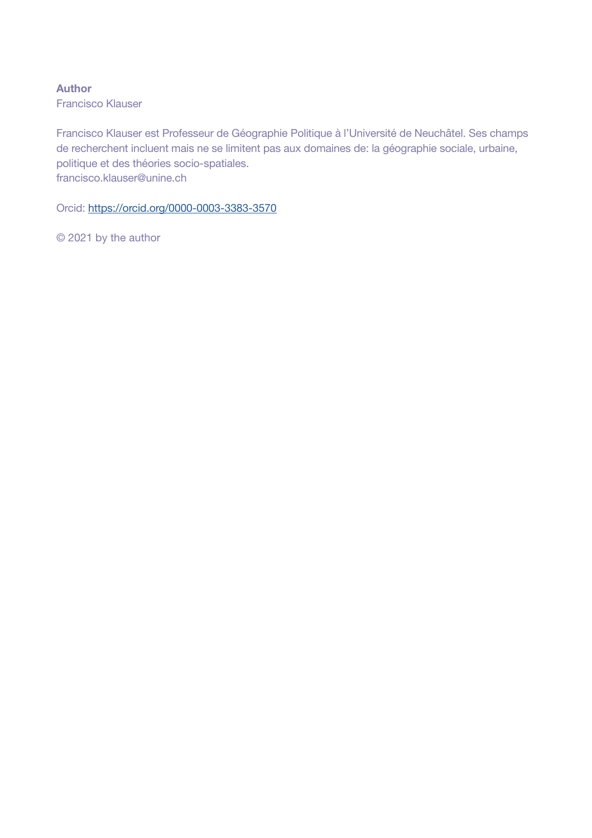Author

Francisco Klauser

Francisco Klauser est Professeur de Géographie Politique à l'Université de Neuchâtel. Ses champs de recherchent incluent mais ne se limitent pas aux domaines de: la géographie sociale, urbaine, politique et des théories socio-spatiales. francisco.klauser@unine.ch

Orcid: <https://orcid.org/0000-0003-3383-3570>

© 2021 by the author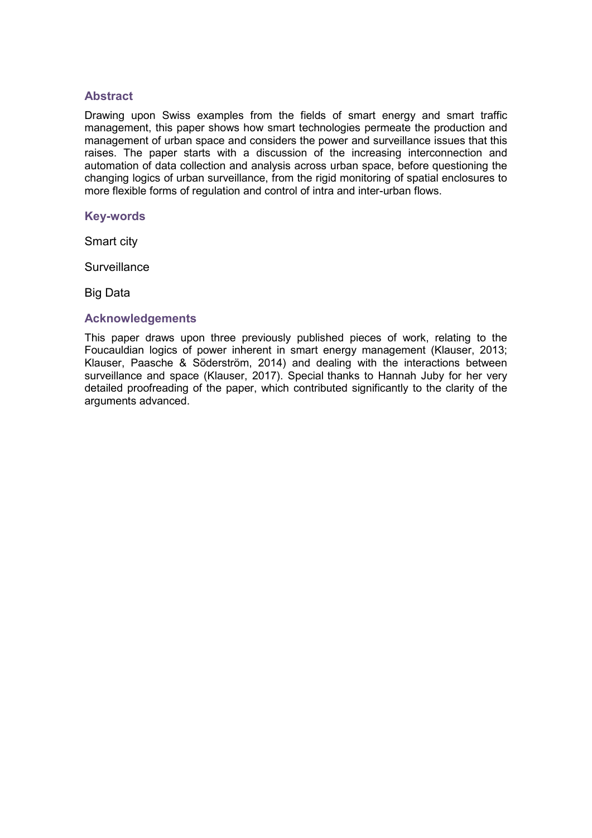## **Abstract**

Drawing upon Swiss examples from the fields of smart energy and smart traffic management, this paper shows how smart technologies permeate the production and management of urban space and considers the power and surveillance issues that this raises. The paper starts with a discussion of the increasing interconnection and automation of data collection and analysis across urban space, before questioning the changing logics of urban surveillance, from the rigid monitoring of spatial enclosures to more flexible forms of regulation and control of intra and inter-urban flows.

#### **Key-words**

Smart city

**Surveillance** 

Big Data

#### **Acknowledgements**

This paper draws upon three previously published pieces of work, relating to the Foucauldian logics of power inherent in smart energy management (Klauser, 2013; Klauser, Paasche & Söderström, 2014) and dealing with the interactions between surveillance and space (Klauser, 2017). Special thanks to Hannah Juby for her very detailed proofreading of the paper, which contributed significantly to the clarity of the arguments advanced.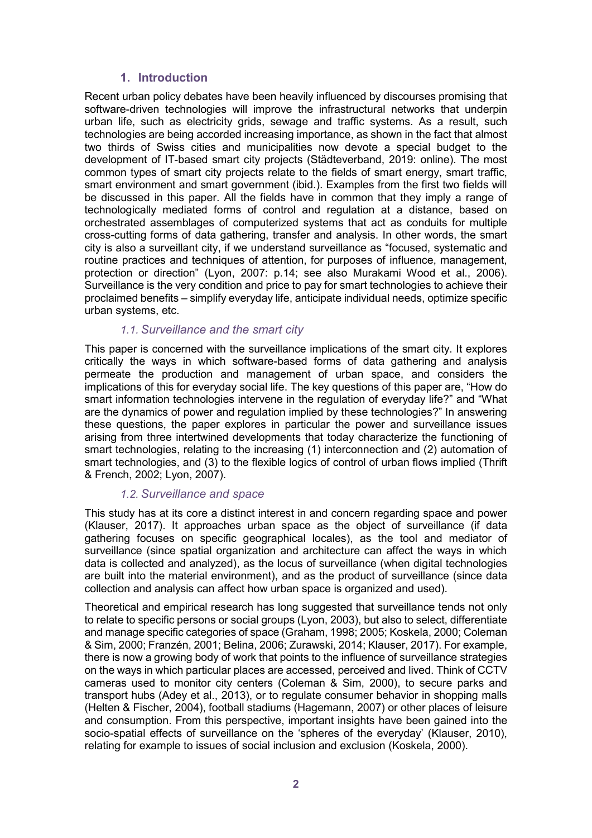# **1. Introduction**

Recent urban policy debates have been heavily influenced by discourses promising that software-driven technologies will improve the infrastructural networks that underpin urban life, such as electricity grids, sewage and traffic systems. As a result, such technologies are being accorded increasing importance, as shown in the fact that almost two thirds of Swiss cities and municipalities now devote a special budget to the development of IT-based smart city projects (Städteverband, 2019: online). The most common types of smart city projects relate to the fields of smart energy, smart traffic, smart environment and smart government (ibid.). Examples from the first two fields will be discussed in this paper. All the fields have in common that they imply a range of technologically mediated forms of control and regulation at a distance, based on orchestrated assemblages of computerized systems that act as conduits for multiple cross-cutting forms of data gathering, transfer and analysis. In other words, the smart city is also a surveillant city, if we understand surveillance as "focused, systematic and routine practices and techniques of attention, for purposes of influence, management, protection or direction" (Lyon, 2007: p.14; see also Murakami Wood et al., 2006). Surveillance is the very condition and price to pay for smart technologies to achieve their proclaimed benefits – simplify everyday life, anticipate individual needs, optimize specific urban systems, etc.

## *1.1. Surveillance and the smart city*

This paper is concerned with the surveillance implications of the smart city. It explores critically the ways in which software-based forms of data gathering and analysis permeate the production and management of urban space, and considers the implications of this for everyday social life. The key questions of this paper are, "How do smart information technologies intervene in the regulation of everyday life?" and "What are the dynamics of power and regulation implied by these technologies?" In answering these questions, the paper explores in particular the power and surveillance issues arising from three intertwined developments that today characterize the functioning of smart technologies, relating to the increasing (1) interconnection and (2) automation of smart technologies, and (3) to the flexible logics of control of urban flows implied (Thrift & French, 2002; Lyon, 2007).

## *1.2. Surveillance and space*

This study has at its core a distinct interest in and concern regarding space and power (Klauser, 2017). It approaches urban space as the object of surveillance (if data gathering focuses on specific geographical locales), as the tool and mediator of surveillance (since spatial organization and architecture can affect the ways in which data is collected and analyzed), as the locus of surveillance (when digital technologies are built into the material environment), and as the product of surveillance (since data collection and analysis can affect how urban space is organized and used).

Theoretical and empirical research has long suggested that surveillance tends not only to relate to specific persons or social groups (Lyon, 2003), but also to select, differentiate and manage specific categories of space (Graham, 1998; 2005; Koskela, 2000; Coleman & Sim, 2000; Franzén, 2001; Belina, 2006; Zurawski, 2014; Klauser, 2017). For example, there is now a growing body of work that points to the influence of surveillance strategies on the ways in which particular places are accessed, perceived and lived. Think of CCTV cameras used to monitor city centers (Coleman & Sim, 2000), to secure parks and transport hubs (Adey et al., 2013), or to regulate consumer behavior in shopping malls (Helten & Fischer, 2004), football stadiums (Hagemann, 2007) or other places of leisure and consumption. From this perspective, important insights have been gained into the socio-spatial effects of surveillance on the 'spheres of the everyday' (Klauser, 2010), relating for example to issues of social inclusion and exclusion (Koskela, 2000).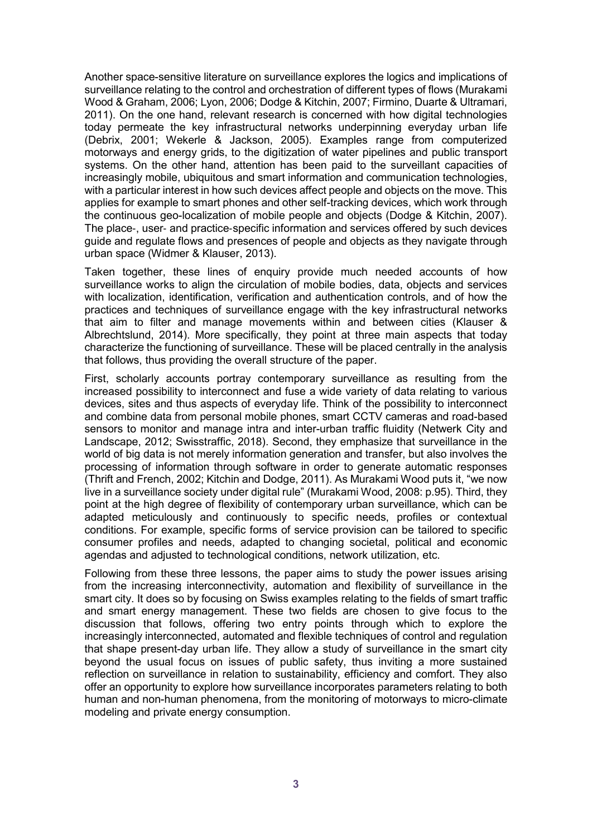Another space-sensitive literature on surveillance explores the logics and implications of surveillance relating to the control and orchestration of different types of flows (Murakami Wood & Graham, 2006; Lyon, 2006; Dodge & Kitchin, 2007; Firmino, Duarte & Ultramari, 2011). On the one hand, relevant research is concerned with how digital technologies today permeate the key infrastructural networks underpinning everyday urban life (Debrix, 2001; Wekerle & Jackson, 2005). Examples range from computerized motorways and energy grids, to the digitization of water pipelines and public transport systems. On the other hand, attention has been paid to the surveillant capacities of increasingly mobile, ubiquitous and smart information and communication technologies, with a particular interest in how such devices affect people and objects on the move. This applies for example to smart phones and other self-tracking devices, which work through the continuous geo-localization of mobile people and objects (Dodge & Kitchin, 2007). The place‐, user‐ and practice‐specific information and services offered by such devices guide and regulate flows and presences of people and objects as they navigate through urban space (Widmer & Klauser, 2013).

Taken together, these lines of enquiry provide much needed accounts of how surveillance works to align the circulation of mobile bodies, data, objects and services with localization, identification, verification and authentication controls, and of how the practices and techniques of surveillance engage with the key infrastructural networks that aim to filter and manage movements within and between cities (Klauser & Albrechtslund, 2014). More specifically, they point at three main aspects that today characterize the functioning of surveillance. These will be placed centrally in the analysis that follows, thus providing the overall structure of the paper.

First, scholarly accounts portray contemporary surveillance as resulting from the increased possibility to interconnect and fuse a wide variety of data relating to various devices, sites and thus aspects of everyday life. Think of the possibility to interconnect and combine data from personal mobile phones, smart CCTV cameras and road-based sensors to monitor and manage intra and inter-urban traffic fluidity (Netwerk City and Landscape, 2012; Swisstraffic, 2018). Second, they emphasize that surveillance in the world of big data is not merely information generation and transfer, but also involves the processing of information through software in order to generate automatic responses (Thrift and French, 2002; Kitchin and Dodge, 2011). As Murakami Wood puts it, "we now live in a surveillance society under digital rule" (Murakami Wood, 2008: p.95). Third, they point at the high degree of flexibility of contemporary urban surveillance, which can be adapted meticulously and continuously to specific needs, profiles or contextual conditions. For example, specific forms of service provision can be tailored to specific consumer profiles and needs, adapted to changing societal, political and economic agendas and adjusted to technological conditions, network utilization, etc.

Following from these three lessons, the paper aims to study the power issues arising from the increasing interconnectivity, automation and flexibility of surveillance in the smart city. It does so by focusing on Swiss examples relating to the fields of smart traffic and smart energy management. These two fields are chosen to give focus to the discussion that follows, offering two entry points through which to explore the increasingly interconnected, automated and flexible techniques of control and regulation that shape present-day urban life. They allow a study of surveillance in the smart city beyond the usual focus on issues of public safety, thus inviting a more sustained reflection on surveillance in relation to sustainability, efficiency and comfort. They also offer an opportunity to explore how surveillance incorporates parameters relating to both human and non-human phenomena, from the monitoring of motorways to micro-climate modeling and private energy consumption.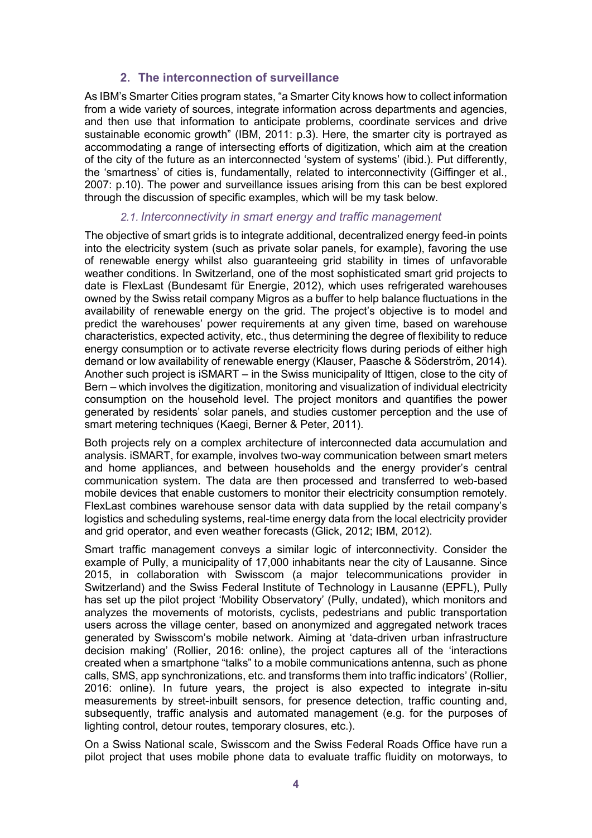# **2. The interconnection of surveillance**

As IBM's Smarter Cities program states, "a Smarter City knows how to collect information from a wide variety of sources, integrate information across departments and agencies, and then use that information to anticipate problems, coordinate services and drive sustainable economic growth" (IBM, 2011: p.3). Here, the smarter city is portrayed as accommodating a range of intersecting efforts of digitization, which aim at the creation of the city of the future as an interconnected 'system of systems' (ibid.). Put differently, the 'smartness' of cities is, fundamentally, related to interconnectivity (Giffinger et al., 2007: p.10). The power and surveillance issues arising from this can be best explored through the discussion of specific examples, which will be my task below.

## *2.1. Interconnectivity in smart energy and traffic management*

The objective of smart grids is to integrate additional, decentralized energy feed-in points into the electricity system (such as private solar panels, for example), favoring the use of renewable energy whilst also guaranteeing grid stability in times of unfavorable weather conditions. In Switzerland, one of the most sophisticated smart grid projects to date is FlexLast (Bundesamt für Energie, 2012), which uses refrigerated warehouses owned by the Swiss retail company Migros as a buffer to help balance fluctuations in the availability of renewable energy on the grid. The project's objective is to model and predict the warehouses' power requirements at any given time, based on warehouse characteristics, expected activity, etc., thus determining the degree of flexibility to reduce energy consumption or to activate reverse electricity flows during periods of either high demand or low availability of renewable energy (Klauser, Paasche & Söderström, 2014). Another such project is iSMART – in the Swiss municipality of Ittigen, close to the city of Bern – which involves the digitization, monitoring and visualization of individual electricity consumption on the household level. The project monitors and quantifies the power generated by residents' solar panels, and studies customer perception and the use of smart metering techniques (Kaegi, Berner & Peter, 2011).

Both projects rely on a complex architecture of interconnected data accumulation and analysis. iSMART, for example, involves two-way communication between smart meters and home appliances, and between households and the energy provider's central communication system. The data are then processed and transferred to web-based mobile devices that enable customers to monitor their electricity consumption remotely. FlexLast combines warehouse sensor data with data supplied by the retail company's logistics and scheduling systems, real-time energy data from the local electricity provider and grid operator, and even weather forecasts (Glick, 2012; IBM, 2012).

Smart traffic management conveys a similar logic of interconnectivity. Consider the example of Pully, a municipality of 17,000 inhabitants near the city of Lausanne. Since 2015, in collaboration with Swisscom (a major telecommunications provider in Switzerland) and the Swiss Federal Institute of Technology in Lausanne (EPFL), Pully has set up the pilot project 'Mobility Observatory' (Pully, undated), which monitors and analyzes the movements of motorists, cyclists, pedestrians and public transportation users across the village center, based on anonymized and aggregated network traces generated by Swisscom's mobile network. Aiming at 'data-driven urban infrastructure decision making' (Rollier, 2016: online), the project captures all of the 'interactions created when a smartphone "talks" to a mobile communications antenna, such as phone calls, SMS, app synchronizations, etc. and transforms them into traffic indicators' (Rollier, 2016: online). In future years, the project is also expected to integrate in-situ measurements by street-inbuilt sensors, for presence detection, traffic counting and, subsequently, traffic analysis and automated management (e.g. for the purposes of lighting control, detour routes, temporary closures, etc.).

On a Swiss National scale, Swisscom and the Swiss Federal Roads Office have run a pilot project that uses mobile phone data to evaluate traffic fluidity on motorways, to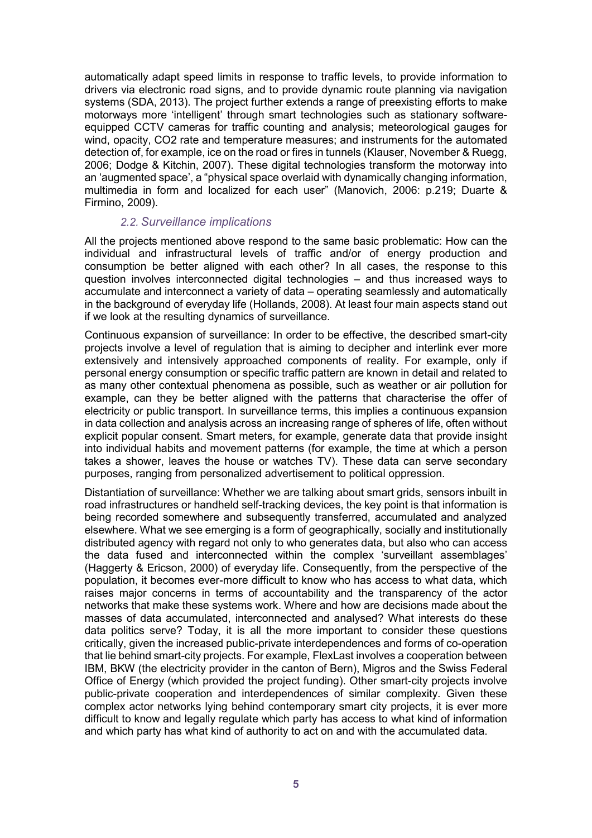automatically adapt speed limits in response to traffic levels, to provide information to drivers via electronic road signs, and to provide dynamic route planning via navigation systems (SDA, 2013). The project further extends a range of preexisting efforts to make motorways more 'intelligent' through smart technologies such as stationary softwareequipped CCTV cameras for traffic counting and analysis; meteorological gauges for wind, opacity, CO2 rate and temperature measures; and instruments for the automated detection of, for example, ice on the road or fires in tunnels (Klauser, November & Ruegg, 2006; Dodge & Kitchin, 2007). These digital technologies transform the motorway into an 'augmented space', a "physical space overlaid with dynamically changing information, multimedia in form and localized for each user" (Manovich, 2006: p.219; Duarte & Firmino, 2009).

# *2.2. Surveillance implications*

All the projects mentioned above respond to the same basic problematic: How can the individual and infrastructural levels of traffic and/or of energy production and consumption be better aligned with each other? In all cases, the response to this question involves interconnected digital technologies – and thus increased ways to accumulate and interconnect a variety of data – operating seamlessly and automatically in the background of everyday life (Hollands, 2008). At least four main aspects stand out if we look at the resulting dynamics of surveillance.

Continuous expansion of surveillance: In order to be effective, the described smart-city projects involve a level of regulation that is aiming to decipher and interlink ever more extensively and intensively approached components of reality. For example, only if personal energy consumption or specific traffic pattern are known in detail and related to as many other contextual phenomena as possible, such as weather or air pollution for example, can they be better aligned with the patterns that characterise the offer of electricity or public transport. In surveillance terms, this implies a continuous expansion in data collection and analysis across an increasing range of spheres of life, often without explicit popular consent. Smart meters, for example, generate data that provide insight into individual habits and movement patterns (for example, the time at which a person takes a shower, leaves the house or watches TV). These data can serve secondary purposes, ranging from personalized advertisement to political oppression.

Distantiation of surveillance: Whether we are talking about smart grids, sensors inbuilt in road infrastructures or handheld self-tracking devices, the key point is that information is being recorded somewhere and subsequently transferred, accumulated and analyzed elsewhere. What we see emerging is a form of geographically, socially and institutionally distributed agency with regard not only to who generates data, but also who can access the data fused and interconnected within the complex 'surveillant assemblages' (Haggerty & Ericson, 2000) of everyday life. Consequently, from the perspective of the population, it becomes ever-more difficult to know who has access to what data, which raises major concerns in terms of accountability and the transparency of the actor networks that make these systems work. Where and how are decisions made about the masses of data accumulated, interconnected and analysed? What interests do these data politics serve? Today, it is all the more important to consider these questions critically, given the increased public-private interdependences and forms of co-operation that lie behind smart-city projects. For example, FlexLast involves a cooperation between IBM, BKW (the electricity provider in the canton of Bern), Migros and the Swiss Federal Office of Energy (which provided the project funding). Other smart-city projects involve public-private cooperation and interdependences of similar complexity. Given these complex actor networks lying behind contemporary smart city projects, it is ever more difficult to know and legally regulate which party has access to what kind of information and which party has what kind of authority to act on and with the accumulated data.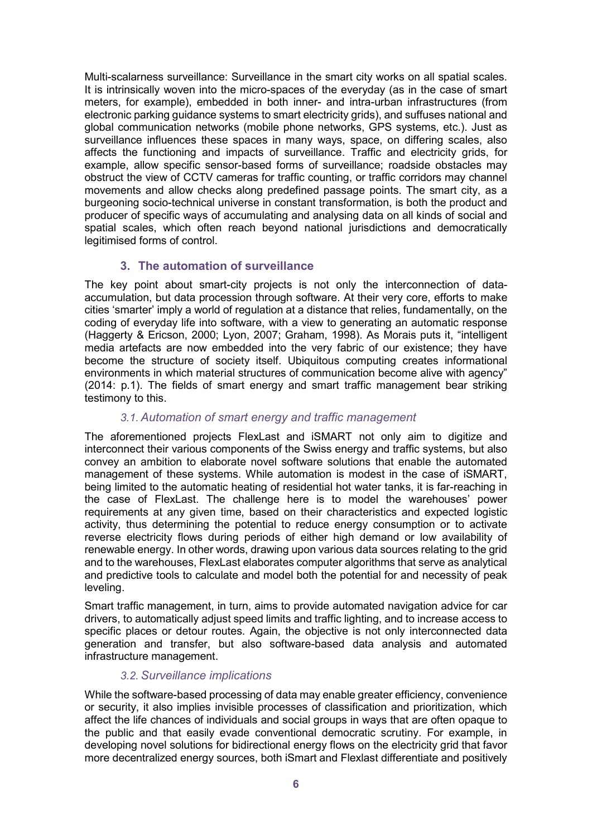Multi-scalarness surveillance: Surveillance in the smart city works on all spatial scales. It is intrinsically woven into the micro-spaces of the everyday (as in the case of smart meters, for example), embedded in both inner- and intra-urban infrastructures (from electronic parking guidance systems to smart electricity grids), and suffuses national and global communication networks (mobile phone networks, GPS systems, etc.). Just as surveillance influences these spaces in many ways, space, on differing scales, also affects the functioning and impacts of surveillance. Traffic and electricity grids, for example, allow specific sensor-based forms of surveillance; roadside obstacles may obstruct the view of CCTV cameras for traffic counting, or traffic corridors may channel movements and allow checks along predefined passage points. The smart city, as a burgeoning socio-technical universe in constant transformation, is both the product and producer of specific ways of accumulating and analysing data on all kinds of social and spatial scales, which often reach beyond national jurisdictions and democratically legitimised forms of control.

# **3. The automation of surveillance**

The key point about smart-city projects is not only the interconnection of dataaccumulation, but data procession through software. At their very core, efforts to make cities 'smarter' imply a world of regulation at a distance that relies, fundamentally, on the coding of everyday life into software, with a view to generating an automatic response (Haggerty & Ericson, 2000; Lyon, 2007; Graham, 1998). As Morais puts it, "intelligent media artefacts are now embedded into the very fabric of our existence; they have become the structure of society itself. Ubiquitous computing creates informational environments in which material structures of communication become alive with agency" (2014: p.1). The fields of smart energy and smart traffic management bear striking testimony to this.

# *3.1. Automation of smart energy and traffic management*

The aforementioned projects FlexLast and iSMART not only aim to digitize and interconnect their various components of the Swiss energy and traffic systems, but also convey an ambition to elaborate novel software solutions that enable the automated management of these systems. While automation is modest in the case of iSMART, being limited to the automatic heating of residential hot water tanks, it is far-reaching in the case of FlexLast. The challenge here is to model the warehouses' power requirements at any given time, based on their characteristics and expected logistic activity, thus determining the potential to reduce energy consumption or to activate reverse electricity flows during periods of either high demand or low availability of renewable energy. In other words, drawing upon various data sources relating to the grid and to the warehouses, FlexLast elaborates computer algorithms that serve as analytical and predictive tools to calculate and model both the potential for and necessity of peak leveling.

Smart traffic management, in turn, aims to provide automated navigation advice for car drivers, to automatically adjust speed limits and traffic lighting, and to increase access to specific places or detour routes. Again, the objective is not only interconnected data generation and transfer, but also software-based data analysis and automated infrastructure management.

# *3.2. Surveillance implications*

While the software-based processing of data may enable greater efficiency, convenience or security, it also implies invisible processes of classification and prioritization, which affect the life chances of individuals and social groups in ways that are often opaque to the public and that easily evade conventional democratic scrutiny. For example, in developing novel solutions for bidirectional energy flows on the electricity grid that favor more decentralized energy sources, both iSmart and Flexlast differentiate and positively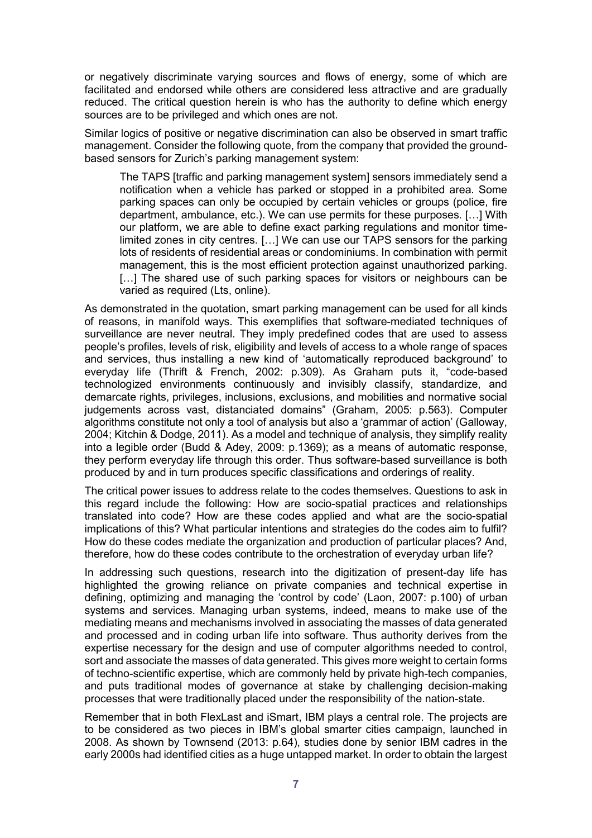or negatively discriminate varying sources and flows of energy, some of which are facilitated and endorsed while others are considered less attractive and are gradually reduced. The critical question herein is who has the authority to define which energy sources are to be privileged and which ones are not.

Similar logics of positive or negative discrimination can also be observed in smart traffic management. Consider the following quote, from the company that provided the groundbased sensors for Zurich's parking management system:

The TAPS [traffic and parking management system] sensors immediately send a notification when a vehicle has parked or stopped in a prohibited area. Some parking spaces can only be occupied by certain vehicles or groups (police, fire department, ambulance, etc.). We can use permits for these purposes. […] With our platform, we are able to define exact parking regulations and monitor timelimited zones in city centres. […] We can use our TAPS sensors for the parking lots of residents of residential areas or condominiums. In combination with permit management, this is the most efficient protection against unauthorized parking. [...] The shared use of such parking spaces for visitors or neighbours can be varied as required (Lts, online).

As demonstrated in the quotation, smart parking management can be used for all kinds of reasons, in manifold ways. This exemplifies that software-mediated techniques of surveillance are never neutral. They imply predefined codes that are used to assess people's profiles, levels of risk, eligibility and levels of access to a whole range of spaces and services, thus installing a new kind of 'automatically reproduced background' to everyday life (Thrift & French, 2002: p.309). As Graham puts it, "code-based technologized environments continuously and invisibly classify, standardize, and demarcate rights, privileges, inclusions, exclusions, and mobilities and normative social judgements across vast, distanciated domains" (Graham, 2005: p.563). Computer algorithms constitute not only a tool of analysis but also a 'grammar of action' (Galloway, 2004; Kitchin & Dodge, 2011). As a model and technique of analysis, they simplify reality into a legible order (Budd & Adey, 2009: p.1369); as a means of automatic response, they perform everyday life through this order. Thus software-based surveillance is both produced by and in turn produces specific classifications and orderings of reality.

The critical power issues to address relate to the codes themselves. Questions to ask in this regard include the following: How are socio-spatial practices and relationships translated into code? How are these codes applied and what are the socio-spatial implications of this? What particular intentions and strategies do the codes aim to fulfil? How do these codes mediate the organization and production of particular places? And, therefore, how do these codes contribute to the orchestration of everyday urban life?

In addressing such questions, research into the digitization of present-day life has highlighted the growing reliance on private companies and technical expertise in defining, optimizing and managing the 'control by code' (Laon, 2007: p.100) of urban systems and services. Managing urban systems, indeed, means to make use of the mediating means and mechanisms involved in associating the masses of data generated and processed and in coding urban life into software. Thus authority derives from the expertise necessary for the design and use of computer algorithms needed to control, sort and associate the masses of data generated. This gives more weight to certain forms of techno-scientific expertise, which are commonly held by private high-tech companies, and puts traditional modes of governance at stake by challenging decision-making processes that were traditionally placed under the responsibility of the nation-state.

Remember that in both FlexLast and iSmart, IBM plays a central role. The projects are to be considered as two pieces in IBM's global smarter cities campaign, launched in 2008. As shown by Townsend (2013: p.64), studies done by senior IBM cadres in the early 2000s had identified cities as a huge untapped market. In order to obtain the largest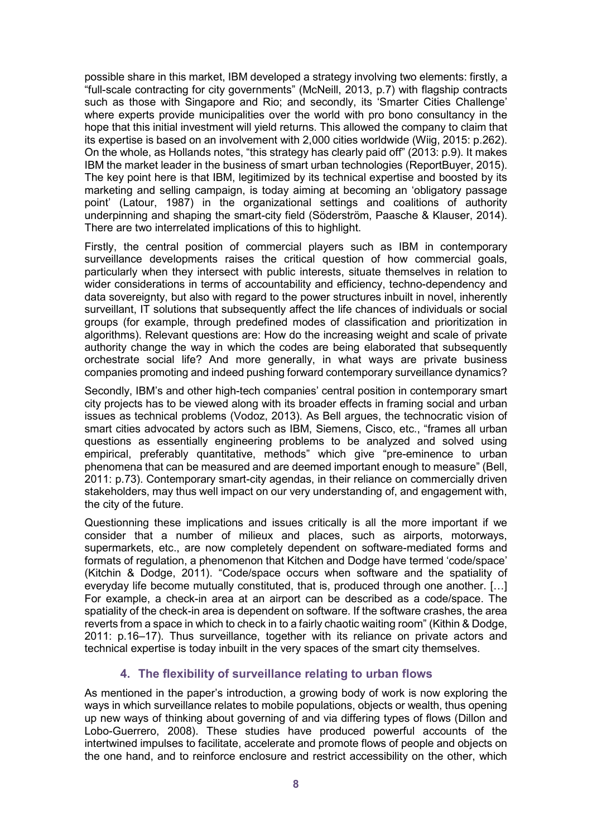possible share in this market, IBM developed a strategy involving two elements: firstly, a "full-scale contracting for city governments" (McNeill, 2013, p.7) with flagship contracts such as those with Singapore and Rio; and secondly, its 'Smarter Cities Challenge' where experts provide municipalities over the world with pro bono consultancy in the hope that this initial investment will yield returns. This allowed the company to claim that its expertise is based on an involvement with 2,000 cities worldwide (Wiig, 2015: p.262). On the whole, as Hollands notes, "this strategy has clearly paid off" (2013: p.9). It makes IBM the market leader in the business of smart urban technologies (ReportBuyer, 2015). The key point here is that IBM, legitimized by its technical expertise and boosted by its marketing and selling campaign, is today aiming at becoming an 'obligatory passage point' (Latour, 1987) in the organizational settings and coalitions of authority underpinning and shaping the smart-city field (Söderström, Paasche & Klauser, 2014). There are two interrelated implications of this to highlight.

Firstly, the central position of commercial players such as IBM in contemporary surveillance developments raises the critical question of how commercial goals, particularly when they intersect with public interests, situate themselves in relation to wider considerations in terms of accountability and efficiency, techno-dependency and data sovereignty, but also with regard to the power structures inbuilt in novel, inherently surveillant, IT solutions that subsequently affect the life chances of individuals or social groups (for example, through predefined modes of classification and prioritization in algorithms). Relevant questions are: How do the increasing weight and scale of private authority change the way in which the codes are being elaborated that subsequently orchestrate social life? And more generally, in what ways are private business companies promoting and indeed pushing forward contemporary surveillance dynamics?

Secondly, IBM's and other high-tech companies' central position in contemporary smart city projects has to be viewed along with its broader effects in framing social and urban issues as technical problems (Vodoz, 2013). As Bell argues, the technocratic vision of smart cities advocated by actors such as IBM, Siemens, Cisco, etc., "frames all urban questions as essentially engineering problems to be analyzed and solved using empirical, preferably quantitative, methods" which give "pre-eminence to urban phenomena that can be measured and are deemed important enough to measure" (Bell, 2011: p.73). Contemporary smart-city agendas, in their reliance on commercially driven stakeholders, may thus well impact on our very understanding of, and engagement with, the city of the future.

Questionning these implications and issues critically is all the more important if we consider that a number of milieux and places, such as airports, motorways, supermarkets, etc., are now completely dependent on software-mediated forms and formats of regulation, a phenomenon that Kitchen and Dodge have termed 'code/space' (Kitchin & Dodge, 2011). "Code/space occurs when software and the spatiality of everyday life become mutually constituted, that is, produced through one another. […] For example, a check-in area at an airport can be described as a code/space. The spatiality of the check-in area is dependent on software. If the software crashes, the area reverts from a space in which to check in to a fairly chaotic waiting room" (Kithin & Dodge, 2011: p.16–17). Thus surveillance, together with its reliance on private actors and technical expertise is today inbuilt in the very spaces of the smart city themselves.

# **4. The flexibility of surveillance relating to urban flows**

As mentioned in the paper's introduction, a growing body of work is now exploring the ways in which surveillance relates to mobile populations, objects or wealth, thus opening up new ways of thinking about governing of and via differing types of flows (Dillon and Lobo-Guerrero, 2008). These studies have produced powerful accounts of the intertwined impulses to facilitate, accelerate and promote flows of people and objects on the one hand, and to reinforce enclosure and restrict accessibility on the other, which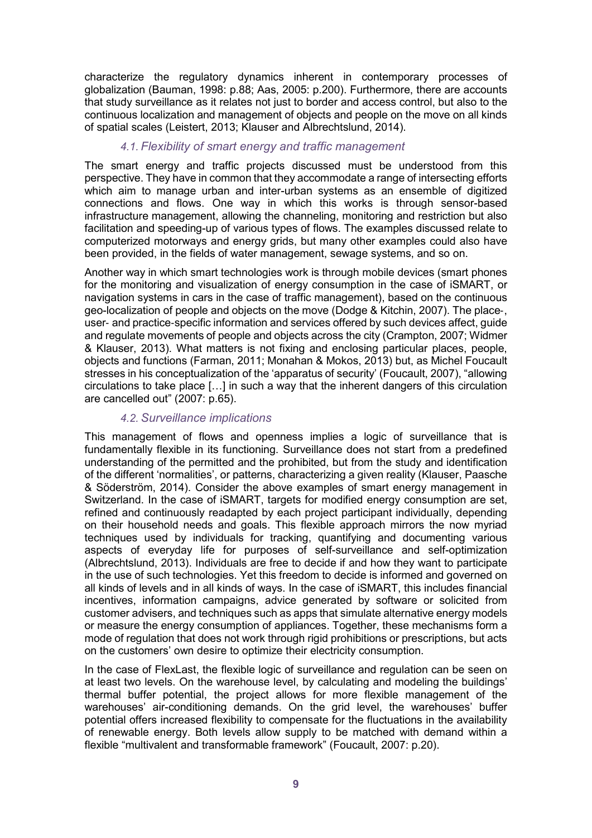characterize the regulatory dynamics inherent in contemporary processes of globalization (Bauman, 1998: p.88; Aas, 2005: p.200). Furthermore, there are accounts that study surveillance as it relates not just to border and access control, but also to the continuous localization and management of objects and people on the move on all kinds of spatial scales (Leistert, 2013; Klauser and Albrechtslund, 2014).

# *4.1. Flexibility of smart energy and traffic management*

The smart energy and traffic projects discussed must be understood from this perspective. They have in common that they accommodate a range of intersecting efforts which aim to manage urban and inter-urban systems as an ensemble of digitized connections and flows. One way in which this works is through sensor-based infrastructure management, allowing the channeling, monitoring and restriction but also facilitation and speeding-up of various types of flows. The examples discussed relate to computerized motorways and energy grids, but many other examples could also have been provided, in the fields of water management, sewage systems, and so on.

Another way in which smart technologies work is through mobile devices (smart phones for the monitoring and visualization of energy consumption in the case of iSMART, or navigation systems in cars in the case of traffic management), based on the continuous geo-localization of people and objects on the move (Dodge & Kitchin, 2007). The place‐, user‐ and practice‐specific information and services offered by such devices affect, guide and regulate movements of people and objects across the city (Crampton, 2007; Widmer & Klauser, 2013). What matters is not fixing and enclosing particular places, people, objects and functions (Farman, 2011; Monahan & Mokos, 2013) but, as Michel Foucault stresses in his conceptualization of the 'apparatus of security' (Foucault, 2007), "allowing circulations to take place […] in such a way that the inherent dangers of this circulation are cancelled out" (2007: p.65).

# *4.2. Surveillance implications*

This management of flows and openness implies a logic of surveillance that is fundamentally flexible in its functioning. Surveillance does not start from a predefined understanding of the permitted and the prohibited, but from the study and identification of the different 'normalities', or patterns, characterizing a given reality (Klauser, Paasche & Söderström, 2014). Consider the above examples of smart energy management in Switzerland. In the case of iSMART, targets for modified energy consumption are set, refined and continuously readapted by each project participant individually, depending on their household needs and goals. This flexible approach mirrors the now myriad techniques used by individuals for tracking, quantifying and documenting various aspects of everyday life for purposes of self-surveillance and self-optimization (Albrechtslund, 2013). Individuals are free to decide if and how they want to participate in the use of such technologies. Yet this freedom to decide is informed and governed on all kinds of levels and in all kinds of ways. In the case of iSMART, this includes financial incentives, information campaigns, advice generated by software or solicited from customer advisers, and techniques such as apps that simulate alternative energy models or measure the energy consumption of appliances. Together, these mechanisms form a mode of regulation that does not work through rigid prohibitions or prescriptions, but acts on the customers' own desire to optimize their electricity consumption.

In the case of FlexLast, the flexible logic of surveillance and regulation can be seen on at least two levels. On the warehouse level, by calculating and modeling the buildings' thermal buffer potential, the project allows for more flexible management of the warehouses' air-conditioning demands. On the grid level, the warehouses' buffer potential offers increased flexibility to compensate for the fluctuations in the availability of renewable energy. Both levels allow supply to be matched with demand within a flexible "multivalent and transformable framework" (Foucault, 2007: p.20).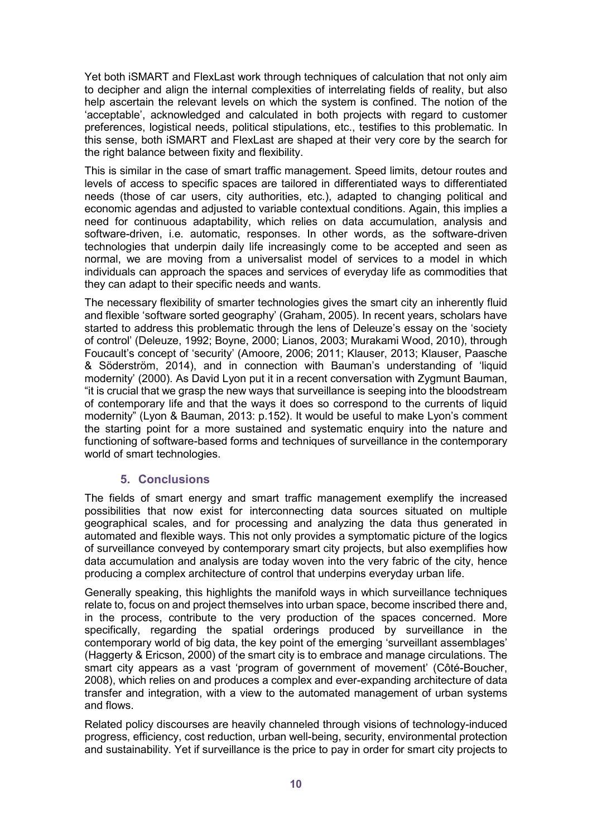Yet both iSMART and FlexLast work through techniques of calculation that not only aim to decipher and align the internal complexities of interrelating fields of reality, but also help ascertain the relevant levels on which the system is confined. The notion of the 'acceptable', acknowledged and calculated in both projects with regard to customer preferences, logistical needs, political stipulations, etc., testifies to this problematic. In this sense, both iSMART and FlexLast are shaped at their very core by the search for the right balance between fixity and flexibility.

This is similar in the case of smart traffic management. Speed limits, detour routes and levels of access to specific spaces are tailored in differentiated ways to differentiated needs (those of car users, city authorities, etc.), adapted to changing political and economic agendas and adjusted to variable contextual conditions. Again, this implies a need for continuous adaptability, which relies on data accumulation, analysis and software-driven, i.e. automatic, responses. In other words, as the software-driven technologies that underpin daily life increasingly come to be accepted and seen as normal, we are moving from a universalist model of services to a model in which individuals can approach the spaces and services of everyday life as commodities that they can adapt to their specific needs and wants.

The necessary flexibility of smarter technologies gives the smart city an inherently fluid and flexible 'software sorted geography' (Graham, 2005). In recent years, scholars have started to address this problematic through the lens of Deleuze's essay on the 'society of control' (Deleuze, 1992; Boyne, 2000; Lianos, 2003; Murakami Wood, 2010), through Foucault's concept of 'security' (Amoore, 2006; 2011; Klauser, 2013; Klauser, Paasche & Söderström, 2014), and in connection with Bauman's understanding of 'liquid modernity' (2000). As David Lyon put it in a recent conversation with Zygmunt Bauman, "it is crucial that we grasp the new ways that surveillance is seeping into the bloodstream of contemporary life and that the ways it does so correspond to the currents of liquid modernity" (Lyon & Bauman, 2013: p.152). It would be useful to make Lyon's comment the starting point for a more sustained and systematic enquiry into the nature and functioning of software-based forms and techniques of surveillance in the contemporary world of smart technologies.

# **5. Conclusions**

The fields of smart energy and smart traffic management exemplify the increased possibilities that now exist for interconnecting data sources situated on multiple geographical scales, and for processing and analyzing the data thus generated in automated and flexible ways. This not only provides a symptomatic picture of the logics of surveillance conveyed by contemporary smart city projects, but also exemplifies how data accumulation and analysis are today woven into the very fabric of the city, hence producing a complex architecture of control that underpins everyday urban life.

Generally speaking, this highlights the manifold ways in which surveillance techniques relate to, focus on and project themselves into urban space, become inscribed there and, in the process, contribute to the very production of the spaces concerned. More specifically, regarding the spatial orderings produced by surveillance in the contemporary world of big data, the key point of the emerging 'surveillant assemblages' (Haggerty & Ericson, 2000) of the smart city is to embrace and manage circulations. The smart city appears as a vast 'program of government of movement' (Côté-Boucher, 2008), which relies on and produces a complex and ever-expanding architecture of data transfer and integration, with a view to the automated management of urban systems and flows.

Related policy discourses are heavily channeled through visions of technology-induced progress, efficiency, cost reduction, urban well-being, security, environmental protection and sustainability. Yet if surveillance is the price to pay in order for smart city projects to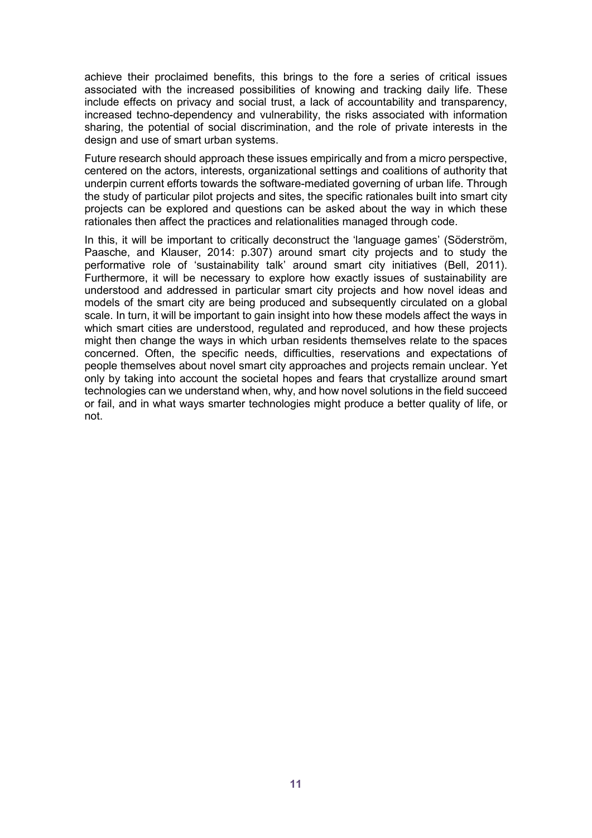achieve their proclaimed benefits, this brings to the fore a series of critical issues associated with the increased possibilities of knowing and tracking daily life. These include effects on privacy and social trust, a lack of accountability and transparency, increased techno-dependency and vulnerability, the risks associated with information sharing, the potential of social discrimination, and the role of private interests in the design and use of smart urban systems.

Future research should approach these issues empirically and from a micro perspective, centered on the actors, interests, organizational settings and coalitions of authority that underpin current efforts towards the software-mediated governing of urban life. Through the study of particular pilot projects and sites, the specific rationales built into smart city projects can be explored and questions can be asked about the way in which these rationales then affect the practices and relationalities managed through code.

In this, it will be important to critically deconstruct the 'language games' (Söderström, Paasche, and Klauser, 2014: p.307) around smart city projects and to study the performative role of 'sustainability talk' around smart city initiatives (Bell, 2011). Furthermore, it will be necessary to explore how exactly issues of sustainability are understood and addressed in particular smart city projects and how novel ideas and models of the smart city are being produced and subsequently circulated on a global scale. In turn, it will be important to gain insight into how these models affect the ways in which smart cities are understood, regulated and reproduced, and how these projects might then change the ways in which urban residents themselves relate to the spaces concerned. Often, the specific needs, difficulties, reservations and expectations of people themselves about novel smart city approaches and projects remain unclear. Yet only by taking into account the societal hopes and fears that crystallize around smart technologies can we understand when, why, and how novel solutions in the field succeed or fail, and in what ways smarter technologies might produce a better quality of life, or not.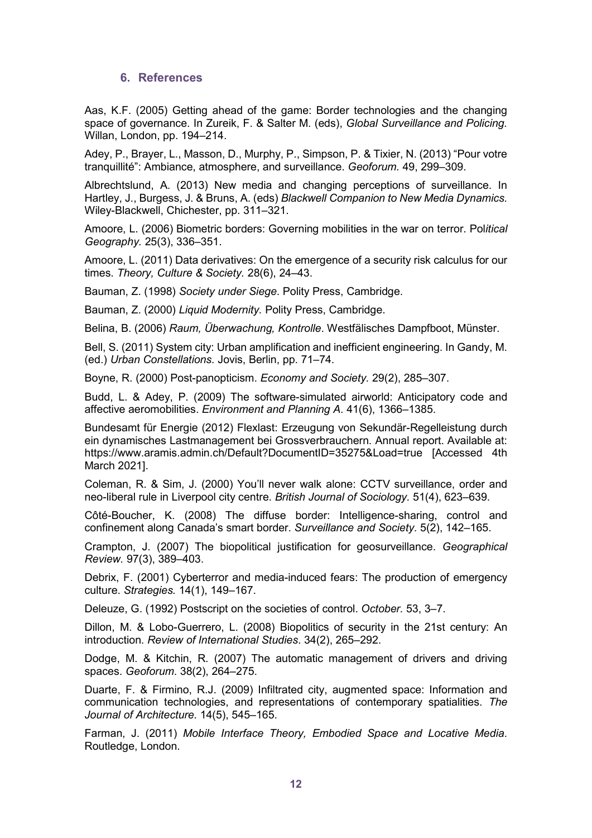## **6. References**

Aas, K.F. (2005) Getting ahead of the game: Border technologies and the changing space of governance. In Zureik, F. & Salter M. (eds), *Global Surveillance and Policing.* Willan, London, pp. 194–214.

Adey, P., Brayer, L., Masson, D., Murphy, P., Simpson, P. & Tixier, N. (2013) "Pour votre tranquillité": Ambiance, atmosphere, and surveillance. *Geoforum.* 49, 299–309.

Albrechtslund, A. (2013) New media and changing perceptions of surveillance. In Hartley, J., Burgess, J. & Bruns, A. (eds) *Blackwell Companion to New Media Dynamics.*  Wiley-Blackwell, Chichester, pp. 311–321.

Amoore, L. (2006) Biometric borders: Governing mobilities in the war on terror. Pol*itical Geography.* 25(3), 336–351.

Amoore, L. (2011) Data derivatives: On the emergence of a security risk calculus for our times. *Theory, Culture & Society.* 28(6), 24–43.

Bauman, Z. (1998) *Society under Siege*. Polity Press, Cambridge.

Bauman, Z. (2000) *Liquid Modernity.* Polity Press, Cambridge.

Belina, B. (2006) *Raum, Überwachung, Kontrolle*. Westfälisches Dampfboot, Münster.

Bell, S. (2011) System city: Urban amplification and inefficient engineering. In Gandy, M. (ed.) *Urban Constellations.* Jovis, Berlin, pp. 71–74.

Boyne, R. (2000) Post-panopticism. *Economy and Society.* 29(2), 285–307.

Budd, L. & Adey, P. (2009) The software-simulated airworld: Anticipatory code and affective aeromobilities. *Environment and Planning A*. 41(6), 1366–1385.

Bundesamt für Energie (2012) Flexlast: Erzeugung von Sekundär-Regelleistung durch ein dynamisches Lastmanagement bei Grossverbrauchern. Annual report. Available at: https://www.aramis.admin.ch/Default?DocumentID=35275&Load=true [Accessed 4th March 2021].

Coleman, R. & Sim, J. (2000) You'll never walk alone: CCTV surveillance, order and neo-liberal rule in Liverpool city centre. *British Journal of Sociology.* 51(4), 623–639.

Côté-Boucher, K. (2008) The diffuse border: Intelligence-sharing, control and confinement along Canada's smart border. *Surveillance and Society.* 5(2), 142–165.

Crampton, J. (2007) The biopolitical justification for geosurveillance. *Geographical Review.* 97(3), 389–403.

Debrix, F. (2001) Cyberterror and media-induced fears: The production of emergency culture. *Strategies.* 14(1), 149–167.

Deleuze, G. (1992) Postscript on the societies of control. *October.* 53, 3–7.

Dillon, M. & Lobo-Guerrero, L. (2008) Biopolitics of security in the 21st century: An introduction. *Review of International Studies*. 34(2), 265–292.

Dodge, M. & Kitchin, R. (2007) The automatic management of drivers and driving spaces. *Geoforum*. 38(2), 264–275.

Duarte, F. & Firmino, R.J. (2009) Infiltrated city, augmented space: Information and communication technologies, and representations of contemporary spatialities. *The Journal of Architecture.* 14(5), 545–165.

Farman, J. (2011) *Mobile Interface Theory, Embodied Space and Locative Media*. Routledge, London.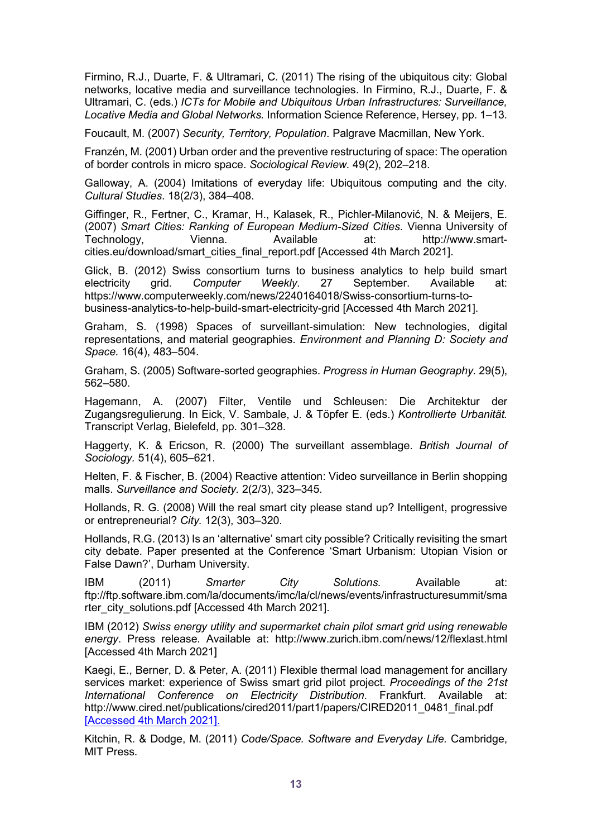Firmino, R.J., Duarte, F. & Ultramari, C. (2011) The rising of the ubiquitous city: Global networks, locative media and surveillance technologies. In Firmino, R.J., Duarte, F. & Ultramari, C. (eds.) *ICTs for Mobile and Ubiquitous Urban Infrastructures: Surveillance, Locative Media and Global Networks.* Information Science Reference, Hersey, pp. 1–13.

Foucault, M. (2007) *Security, Territory, Population*. Palgrave Macmillan, New York.

Franzén, M. (2001) Urban order and the preventive restructuring of space: The operation of border controls in micro space. *Sociological Review.* 49(2), 202–218.

Galloway, A. (2004) Imitations of everyday life: Ubiquitous computing and the city. *Cultural Studies*. 18(2/3), 384–408.

Giffinger, R., Fertner, C., Kramar, H., Kalasek, R., Pichler-Milanović, N. & Meijers, E. (2007) *Smart Cities: Ranking of European Medium-Sized Cities*. Vienna University of Technology, Vienna. Available at: http://www.smartcities.eu/download/smart\_cities\_final\_report.pdf [Accessed 4th March 2021].

Glick, B. (2012) Swiss consortium turns to business analytics to help build smart electricity grid. *Computer Weekly*. 27 September. Available at: https://www.computerweekly.com/news/2240164018/Swiss-consortium-turns-tobusiness-analytics-to-help-build-smart-electricity-grid [Accessed 4th March 2021].

Graham, S. (1998) Spaces of surveillant-simulation: New technologies, digital representations, and material geographies. *Environment and Planning D: Society and Space.* 16(4), 483–504.

Graham, S. (2005) Software-sorted geographies. *Progress in Human Geography.* 29(5), 562–580.

Hagemann, A. (2007) Filter, Ventile und Schleusen: Die Architektur der Zugangsregulierung. In Eick, V. Sambale, J. & Töpfer E. (eds.) *Kontrollierte Urbanität.* Transcript Verlag, Bielefeld, pp. 301–328.

Haggerty, K. & Ericson, R. (2000) The surveillant assemblage. *British Journal of Sociology.* 51(4), 605–621.

Helten, F. & Fischer, B. (2004) Reactive attention: Video surveillance in Berlin shopping malls. *Surveillance and Society.* 2(2/3), 323–345.

Hollands, R. G. (2008) Will the real smart city please stand up? Intelligent, progressive or entrepreneurial? *City.* 12(3), 303–320.

Hollands, R.G. (2013) Is an 'alternative' smart city possible? Critically revisiting the smart city debate. Paper presented at the Conference 'Smart Urbanism: Utopian Vision or False Dawn?', Durham University.

IBM (2011) *Smarter City Solutions.* Available at: ftp://ftp.software.ibm.com/la/documents/imc/la/cl/news/events/infrastructuresummit/sma rter\_city\_solutions.pdf [Accessed 4th March 2021].

IBM (2012) *Swiss energy utility and supermarket chain pilot smart grid using renewable energy*. Press release. Available at: http://www.zurich.ibm.com/news/12/flexlast.html [Accessed 4th March 2021]

Kaegi, E., Berner, D. & Peter, A. (2011) Flexible thermal load management for ancillary services market: experience of Swiss smart grid pilot project. *Proceedings of the 21st International Conference on Electricity Distribution*. Frankfurt. Available at: http://www.cired.net/publications/cired2011/part1/papers/CIRED2011\_0481\_final.pdf [Accessed 4th March 2021].

Kitchin, R. & Dodge, M. (2011) *Code/Space. Software and Everyday Life.* Cambridge, MIT Press.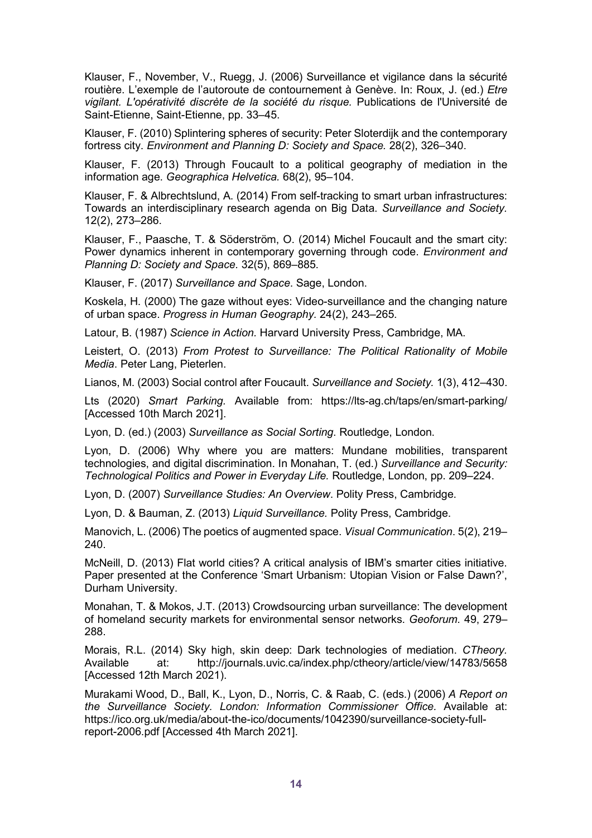Klauser, F., November, V., Ruegg, J. (2006) Surveillance et vigilance dans la sécurité routière. L'exemple de l'autoroute de contournement à Genève. In: Roux, J. (ed.) *Etre vigilant. L'opérativité discrète de la société du risque.* Publications de l'Université de Saint-Etienne, Saint-Etienne, pp. 33–45.

Klauser, F. (2010) Splintering spheres of security: Peter Sloterdijk and the contemporary fortress city. *Environment and Planning D: Society and Space.* 28(2), 326–340.

Klauser, F. (2013) Through Foucault to a political geography of mediation in the information age. *Geographica Helvetica.* 68(2), 95–104.

Klauser, F. & Albrechtslund, A. (2014) From self-tracking to smart urban infrastructures: Towards an interdisciplinary research agenda on Big Data. *Surveillance and Society.* 12(2), 273–286.

Klauser, F., Paasche, T. & Söderström, O. (2014) Michel Foucault and the smart city: Power dynamics inherent in contemporary governing through code. *Environment and Planning D: Society and Space.* 32(5), 869–885.

Klauser, F. (2017) *Surveillance and Space*. Sage, London.

Koskela, H. (2000) The gaze without eyes: Video-surveillance and the changing nature of urban space. *Progress in Human Geography.* 24(2), 243–265.

Latour, B. (1987) *Science in Action.* Harvard University Press, Cambridge, MA.

Leistert, O. (2013) *From Protest to Surveillance: The Political Rationality of Mobile Media*. Peter Lang, Pieterlen.

Lianos, M. (2003) Social control after Foucault. *Surveillance and Society.* 1(3), 412–430.

Lts (2020) *Smart Parking.* Available from: https://lts-ag.ch/taps/en/smart-parking/ [Accessed 10th March 2021].

Lyon, D. (ed.) (2003) *Surveillance as Social Sorting*. Routledge, London.

Lyon, D. (2006) Why where you are matters: Mundane mobilities, transparent technologies, and digital discrimination. In Monahan, T. (ed.) *Surveillance and Security: Technological Politics and Power in Everyday Life.* Routledge, London, pp. 209–224.

Lyon, D. (2007) *Surveillance Studies: An Overview*. Polity Press, Cambridge.

Lyon, D. & Bauman, Z. (2013) *Liquid Surveillance.* Polity Press, Cambridge.

Manovich, L. (2006) The poetics of augmented space. *Visual Communication*. 5(2), 219– 240.

McNeill, D. (2013) Flat world cities? A critical analysis of IBM's smarter cities initiative. Paper presented at the Conference 'Smart Urbanism: Utopian Vision or False Dawn?', Durham University.

Monahan, T. & Mokos, J.T. (2013) Crowdsourcing urban surveillance: The development of homeland security markets for environmental sensor networks. *Geoforum.* 49, 279– 288.

Morais, R.L. (2014) Sky high, skin deep: Dark technologies of mediation. *CTheory.* Available at: http://journals.uvic.ca/index.php/ctheory/article/view/14783/5658 [Accessed 12th March 2021).

Murakami Wood, D., Ball, K., Lyon, D., Norris, C. & Raab, C. (eds.) (2006) *A Report on the Surveillance Society. London: Information Commissioner Office.* Available at: https://ico.org.uk/media/about-the-ico/documents/1042390/surveillance-society-fullreport-2006.pdf [Accessed 4th March 2021].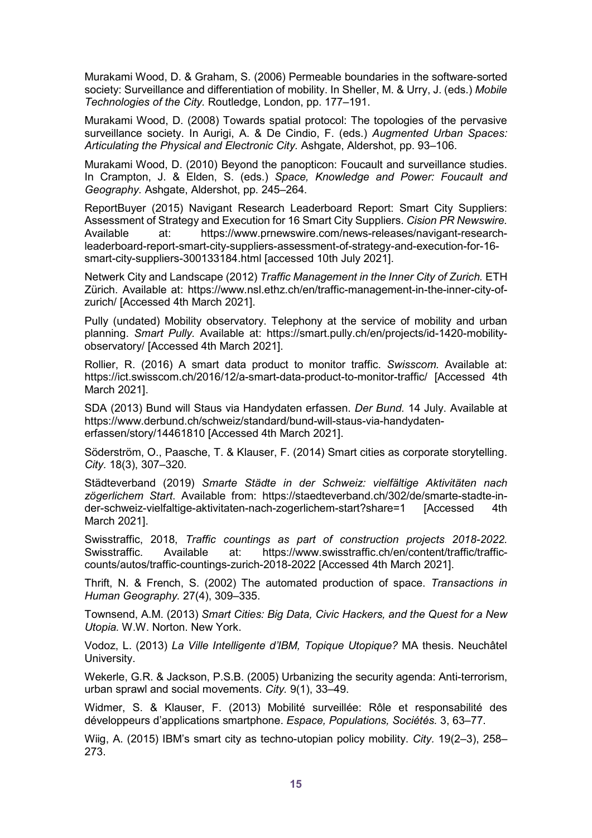Murakami Wood, D. & Graham, S. (2006) Permeable boundaries in the software-sorted society: Surveillance and differentiation of mobility. In Sheller, M. & Urry, J. (eds.) *Mobile Technologies of the City.* Routledge, London, pp. 177–191.

Murakami Wood, D. (2008) Towards spatial protocol: The topologies of the pervasive surveillance society. In Aurigi, A. & De Cindio, F. (eds.) *Augmented Urban Spaces: Articulating the Physical and Electronic City.* Ashgate, Aldershot, pp. 93–106.

Murakami Wood, D. (2010) Beyond the panopticon: Foucault and surveillance studies. In Crampton, J. & Elden, S. (eds.) *Space, Knowledge and Power: Foucault and Geography.* Ashgate, Aldershot, pp. 245–264.

ReportBuyer (2015) Navigant Research Leaderboard Report: Smart City Suppliers: Assessment of Strategy and Execution for 16 Smart City Suppliers. *Cision PR Newswire.* Available at: https://www.prnewswire.com/news-releases/navigant-researchleaderboard-report-smart-city-suppliers-assessment-of-strategy-and-execution-for-16 smart-city-suppliers-300133184.html [accessed 10th July 2021].

Netwerk City and Landscape (2012) *Traffic Management in the Inner City of Zurich.* ETH Zürich. Available at: https://www.nsl.ethz.ch/en/traffic-management-in-the-inner-city-ofzurich/ [Accessed 4th March 2021].

Pully (undated) Mobility observatory. Telephony at the service of mobility and urban planning. *Smart Pully.* Available at: https://smart.pully.ch/en/projects/id-1420-mobilityobservatory/ [Accessed 4th March 2021].

Rollier, R. (2016) A smart data product to monitor traffic. *Swisscom.* Available at: https://ict.swisscom.ch/2016/12/a-smart-data-product-to-monitor-traffic/ [Accessed 4th March 2021].

SDA (2013) Bund will Staus via Handydaten erfassen. *Der Bund.* 14 July. Available at https://www.derbund.ch/schweiz/standard/bund-will-staus-via-handydatenerfassen/story/14461810 [Accessed 4th March 2021].

Söderström, O., Paasche, T. & Klauser, F. (2014) Smart cities as corporate storytelling. *City.* 18(3), 307–320.

Städteverband (2019) *Smarte Städte in der Schweiz: vielfältige Aktivitäten nach zögerlichem Start*. Available from: https://staedteverband.ch/302/de/smarte-stadte-inder-schweiz-vielfaltige-aktivitaten-nach-zogerlichem-start?share=1 [Accessed 4th March 2021].

Swisstraffic, 2018, *Traffic countings as part of construction projects 2018-2022.* Swisstraffic. Available at: https://www.swisstraffic.ch/en/content/traffic/trafficcounts/autos/traffic-countings-zurich-2018-2022 [Accessed 4th March 2021].

Thrift, N. & French, S. (2002) The automated production of space. *Transactions in Human Geography.* 27(4), 309–335.

Townsend, A.M. (2013) *Smart Cities: Big Data, Civic Hackers, and the Quest for a New Utopia.* W.W. Norton. New York.

Vodoz, L. (2013) *La Ville Intelligente d'IBM, Topique Utopique?* MA thesis. Neuchâtel University.

Wekerle, G.R. & Jackson, P.S.B. (2005) Urbanizing the security agenda: Anti-terrorism, urban sprawl and social movements. *City.* 9(1), 33–49.

Widmer, S. & Klauser, F. (2013) Mobilité surveillée: Rôle et responsabilité des développeurs d'applications smartphone. *Espace, Populations, Sociétés.* 3, 63–77.

Wiig, A. (2015) IBM's smart city as techno-utopian policy mobility. *City.* 19(2–3), 258– 273.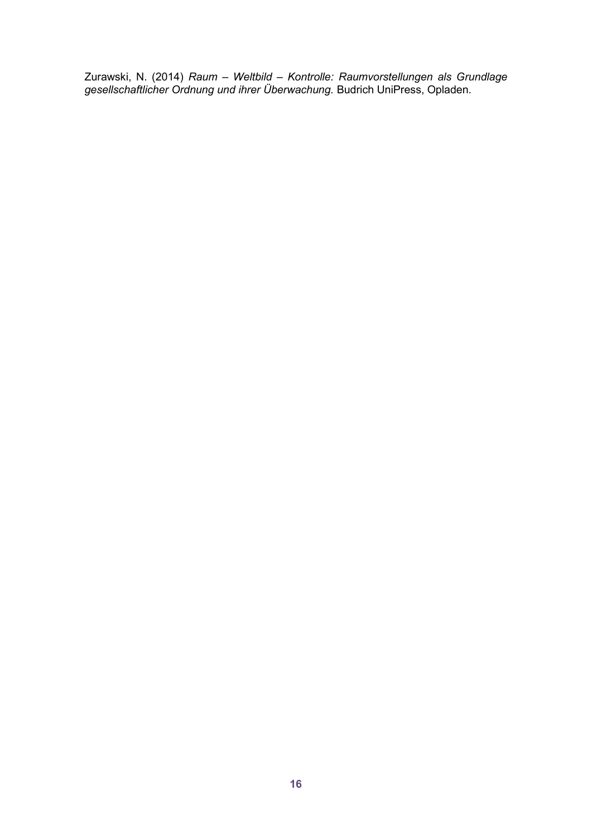Zurawski, N. (2014) *Raum – Weltbild – Kontrolle: Raumvorstellungen als Grundlage gesellschaftlicher Ordnung und ihrer Überwachung.* Budrich UniPress, Opladen.